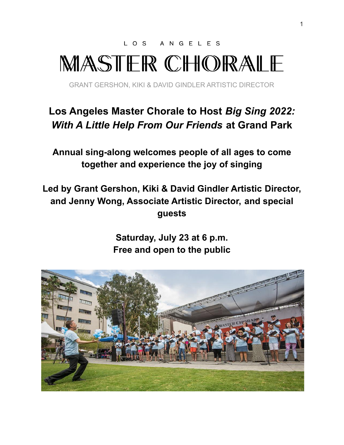LOS ANGELES

# MASTER CHORALE

GRANT GERSHON, KIKI & DAVID GINDLER ARTISTIC DIRECTOR

# **Los Angeles Master Chorale to Host** *Big Sing 2022: With A Little Help From Our Friends* **at Grand Park**

**Annual sing-along welcomes people of all ages to come together and experience the joy of singing**

**Led by Grant Gershon, Kiki & David Gindler Artistic Director, and Jenny Wong, Associate Artistic Director, and special guests**

> **Saturday, July 23 at 6 p.m. Free and open to the public**

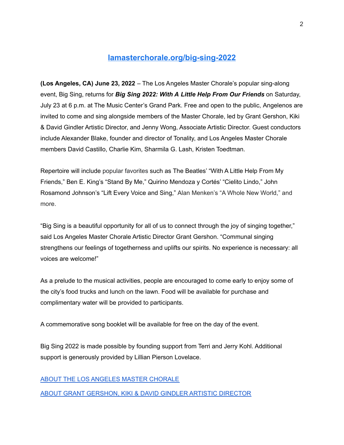## **[lamasterchorale.org/big-sing-2022](http://lamasterchorale.org/big-sing-2022)**

**(Los Angeles, CA) June 23, 2022** – The Los Angeles Master Chorale's popular sing-along event, Big Sing, returns for *Big Sing 2022: With A Little Help From Our Friends* on Saturday, July 23 at 6 p.m. at The Music Center's Grand Park. Free and open to the public, Angelenos are invited to come and sing alongside members of the Master Chorale, led by Grant Gershon, Kiki & David Gindler Artistic Director, and Jenny Wong, Associate Artistic Director. Guest conductors include Alexander Blake, founder and director of Tonality, and Los Angeles Master Chorale members David Castillo, Charlie Kim, Sharmila G. Lash, Kristen Toedtman.

Repertoire will include popular favorites such as The Beatles' "With A Little Help From My Friends," Ben E. King's "Stand By Me," Quirino Mendoza y Cortés' "Cielito Lindo," John Rosamond Johnson's "Lift Every Voice and Sing," Alan Menken's "A Whole New World," and more.

"Big Sing is a beautiful opportunity for all of us to connect through the joy of singing together," said Los Angeles Master Chorale Artistic Director Grant Gershon. "Communal singing strengthens our feelings of togetherness and uplifts our spirits. No experience is necessary: all voices are welcome!"

As a prelude to the musical activities, people are encouraged to come early to enjoy some of the city's food trucks and lunch on the lawn. Food will be available for purchase and complimentary water will be provided to participants.

A commemorative song booklet will be available for free on the day of the event.

Big Sing 2022 is made possible by founding support from Terri and Jerry Kohl. Additional support is generously provided by Lillian Pierson Lovelace.

#### ABOUT THE LOS ANGELES MASTER [CHORALE](http://lamasterchorale.org/los-angeles-master-chorale.php)

#### ABOUT GRANT [GERSHON,](http://lamasterchorale.org/grant-gershon) KIKI & DAVID GINDLER ARTISTIC DIRECTOR